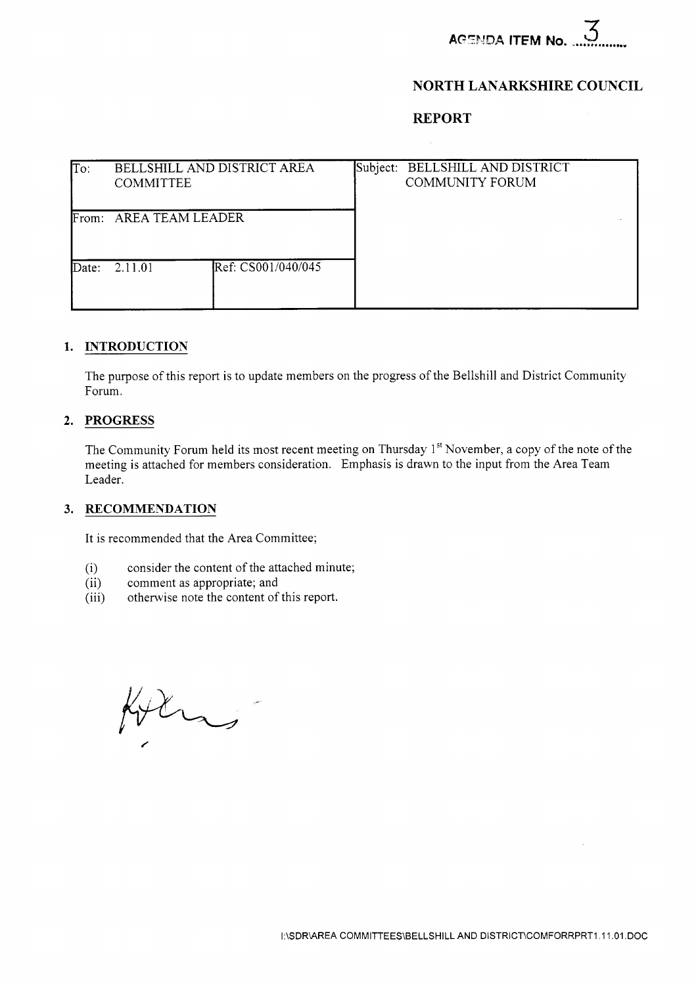

# **NORTH LANARKSHIRE COUNCIL**

## **REPORT**

| To:   | BELLSHILL AND DISTRICT AREA<br><b>COMMITTEE</b> |                    | Subject: BELLSHILL AND DISTRICT<br><b>COMMUNITY FORUM</b> |  |
|-------|-------------------------------------------------|--------------------|-----------------------------------------------------------|--|
|       | From: AREA TEAM LEADER                          |                    |                                                           |  |
| Date: | 2.11.01                                         | Ref: CS001/040/045 |                                                           |  |

### **1. INTRODUCTION**

The purpose of this report is to update members on the progress of the Bellshill and District Community Forum.

#### **2. PROGRESS**

The Community Forum held its most recent meeting on Thursday 1<sup>st</sup> November, a copy of the note of the meeting is attached for members consideration. Emphasis is drawn to the input from the Area Team Leader.

## **3. RECOMMENDATION**

It is recommended that the Area Committee;

- consider the content of the attached minute;
- $\frac{(\mathrm{i})}{(\mathrm{ii})}$ comment as appropriate; and
- (iii) otherwise note the content of this report.

Kill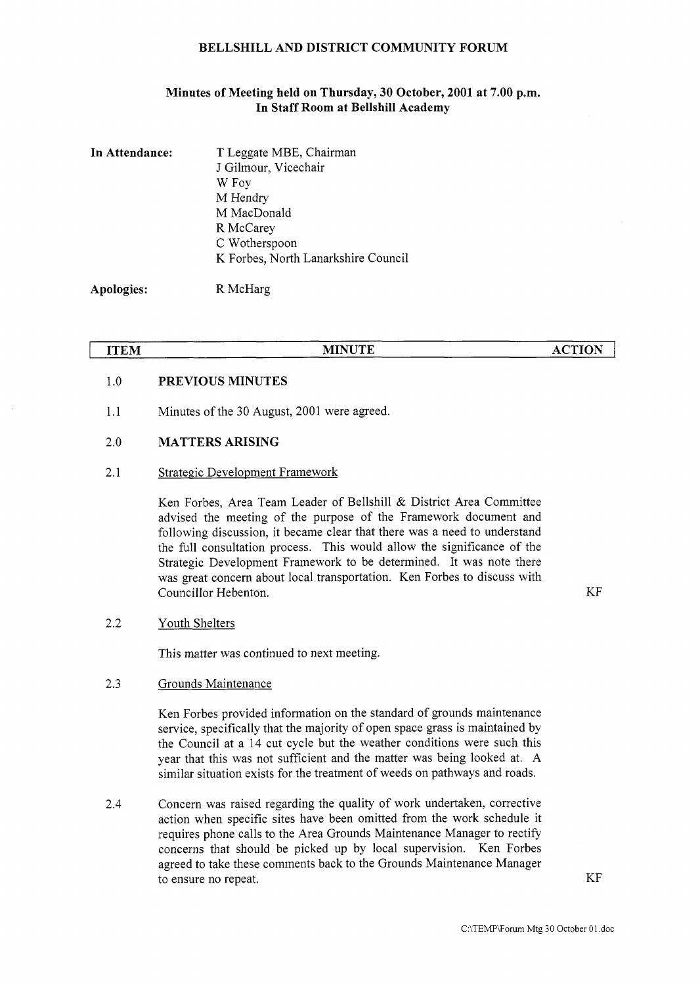## **BELLSHILL AND DISTRICT COMMUNITY FORUM**

### **Minutes of Meeting held on Thursday, 30 October, 2001 at 7.00 p.m. In Staff Room at Bellshill Academy**

| In Attendance: | T Leggate MBE, Chairman             |
|----------------|-------------------------------------|
|                | J Gilmour, Vicechair                |
|                | W Foy                               |
|                | M Hendry                            |
|                | M MacDonald                         |
|                | R McCarey                           |
|                | C Wotherspoon                       |
|                | K Forbes, North Lanarkshire Council |
|                |                                     |

**Apologies:** R McHarg

| ----                          | ------<br>-------<br>-----<br>. |                               |
|-------------------------------|---------------------------------|-------------------------------|
|                               | <b>MINUTF</b>                   |                               |
| <b>ITEM</b>                   |                                 | <b>CTION</b><br>$A_{\lambda}$ |
|                               |                                 | .                             |
| the company of the company of |                                 |                               |

### 1 .o **PREVIOUS MINUTES**

1.1 Minutes of the 30 August, 2001 were agreed.

#### 2.0 **MATTERS ARISING**

#### 2.1 Strategic Development Framework

Ken Forbes, Area Team Leader of Bellshill & District Area Committee advised the meeting of the purpose of the Framework document and following discussion, it became clear that there was a need to understand the full consultation process. This would allow the significance of the Strategic Development Framework to be determined. It was note there was great concern about local transportation. Ken Forbes to discuss with Councillor Hebenton. KF

#### 2.2 Youth Shelters

This matter was continued to next meeting.

#### 2.3 Grounds Maintenance

Ken Forbes provided information on the standard of grounds maintenance service, specifically that the majority of open space grass is maintained by the Council at a 14 cut cycle but the weather conditions were such this year that this was not sufficient and the matter was being looked at. A similar situation exists for the treatment of weeds on pathways and roads.

2.4 Concern was raised regarding the quality of work undertaken, corrective action when specific sites have been omitted from the work schedule it requires phone calls to the Area Grounds Maintenance Manager to rectify concerns that should be picked up by local supervision. Ken Forbes agreed to take these comments back to the Grounds Maintenance Manager to ensure no repeat. KF